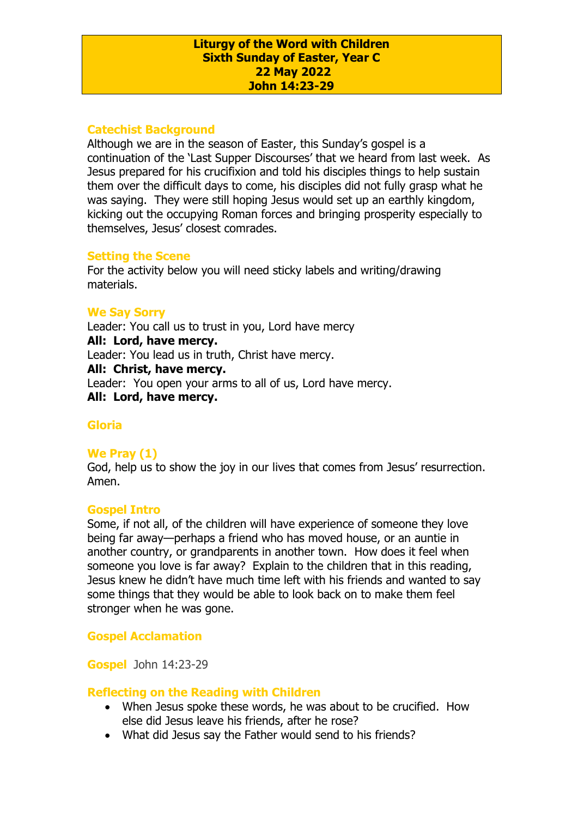#### **Liturgy of the Word with Children Sixth Sunday of Easter, Year C 22 May 2022 John 14:23-29**

# **Catechist Background**

Although we are in the season of Easter, this Sunday's gospel is a continuation of the 'Last Supper Discourses' that we heard from last week. As Jesus prepared for his crucifixion and told his disciples things to help sustain them over the difficult days to come, his disciples did not fully grasp what he was saying. They were still hoping Jesus would set up an earthly kingdom, kicking out the occupying Roman forces and bringing prosperity especially to themselves, Jesus' closest comrades.

#### **Setting the Scene**

For the activity below you will need sticky labels and writing/drawing materials.

#### **We Say Sorry**

Leader: You call us to trust in you, Lord have mercy **All: Lord, have mercy.** Leader: You lead us in truth, Christ have mercy. **All: Christ, have mercy.** Leader: You open your arms to all of us, Lord have mercy. **All: Lord, have mercy.**

## **Gloria**

## **We Pray (1)**

God, help us to show the joy in our lives that comes from Jesus' resurrection. Amen.

#### **Gospel Intro**

Some, if not all, of the children will have experience of someone they love being far away—perhaps a friend who has moved house, or an auntie in another country, or grandparents in another town. How does it feel when someone you love is far away? Explain to the children that in this reading, Jesus knew he didn't have much time left with his friends and wanted to say some things that they would be able to look back on to make them feel stronger when he was gone.

## **Gospel Acclamation**

**Gospel** John 14:23-29

#### **Reflecting on the Reading with Children**

- When Jesus spoke these words, he was about to be crucified. How else did Jesus leave his friends, after he rose?
- What did Jesus say the Father would send to his friends?